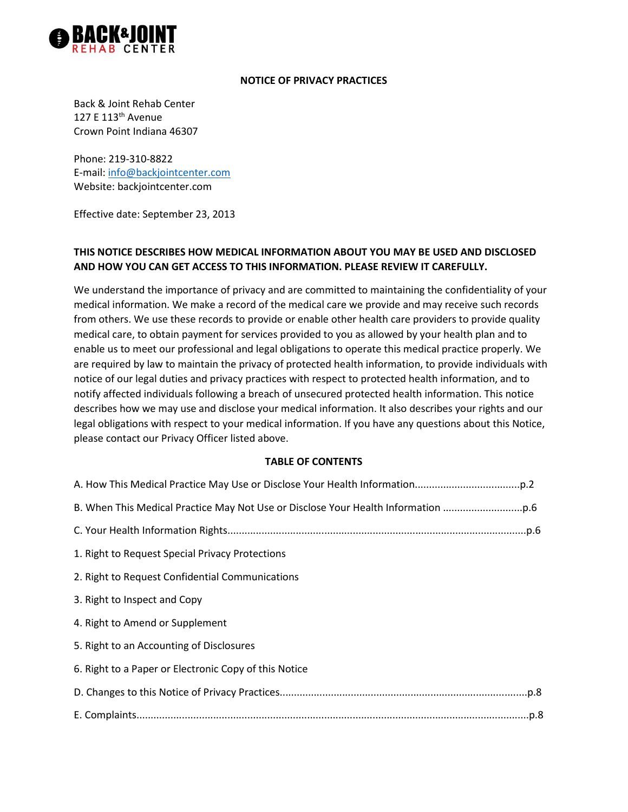

#### **NOTICE OF PRIVACY PRACTICES**

Back & Joint Rehab Center 127 E 113th Avenue Crown Point Indiana 46307

Phone: 219-310-8822 E-mail: [info@backjointcenter.com](mailto:info@backjointcenter.com) Website: backjointcenter.com

Effective date: September 23, 2013

# **THIS NOTICE DESCRIBES HOW MEDICAL INFORMATION ABOUT YOU MAY BE USED AND DISCLOSED AND HOW YOU CAN GET ACCESS TO THIS INFORMATION. PLEASE REVIEW IT CAREFULLY.**

We understand the importance of privacy and are committed to maintaining the confidentiality of your medical information. We make a record of the medical care we provide and may receive such records from others. We use these records to provide or enable other health care providers to provide quality medical care, to obtain payment for services provided to you as allowed by your health plan and to enable us to meet our professional and legal obligations to operate this medical practice properly. We are required by law to maintain the privacy of protected health information, to provide individuals with notice of our legal duties and privacy practices with respect to protected health information, and to notify affected individuals following a breach of unsecured protected health information. This notice describes how we may use and disclose your medical information. It also describes your rights and our legal obligations with respect to your medical information. If you have any questions about this Notice, please contact our Privacy Officer listed above.

#### **TABLE OF CONTENTS**

| B. When This Medical Practice May Not Use or Disclose Your Health Information |
|-------------------------------------------------------------------------------|
|                                                                               |
| 1. Right to Request Special Privacy Protections                               |
| 2. Right to Request Confidential Communications                               |
| 3. Right to Inspect and Copy                                                  |
| 4. Right to Amend or Supplement                                               |
| 5. Right to an Accounting of Disclosures                                      |
| 6. Right to a Paper or Electronic Copy of this Notice                         |
|                                                                               |
|                                                                               |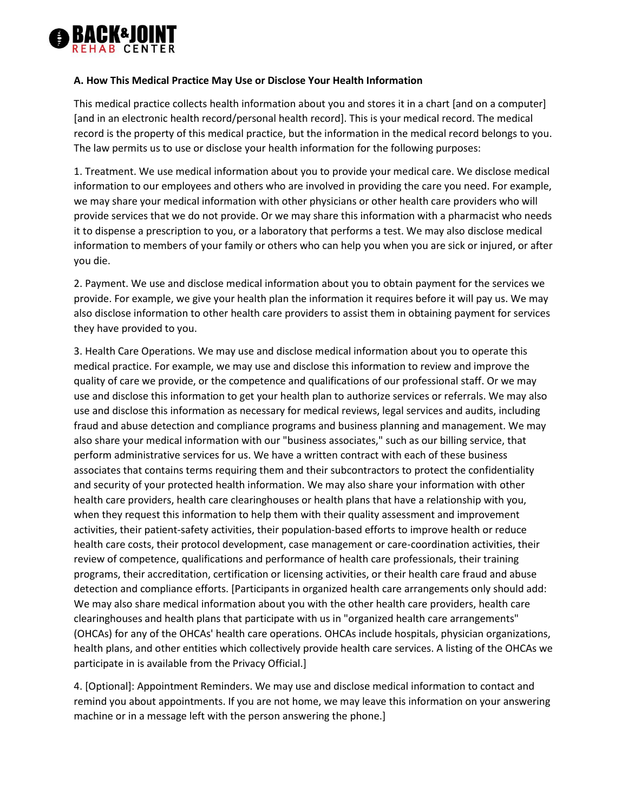

#### **A. How This Medical Practice May Use or Disclose Your Health Information**

This medical practice collects health information about you and stores it in a chart [and on a computer] [and in an electronic health record/personal health record]. This is your medical record. The medical record is the property of this medical practice, but the information in the medical record belongs to you. The law permits us to use or disclose your health information for the following purposes:

1. Treatment. We use medical information about you to provide your medical care. We disclose medical information to our employees and others who are involved in providing the care you need. For example, we may share your medical information with other physicians or other health care providers who will provide services that we do not provide. Or we may share this information with a pharmacist who needs it to dispense a prescription to you, or a laboratory that performs a test. We may also disclose medical information to members of your family or others who can help you when you are sick or injured, or after you die.

2. Payment. We use and disclose medical information about you to obtain payment for the services we provide. For example, we give your health plan the information it requires before it will pay us. We may also disclose information to other health care providers to assist them in obtaining payment for services they have provided to you.

3. Health Care Operations. We may use and disclose medical information about you to operate this medical practice. For example, we may use and disclose this information to review and improve the quality of care we provide, or the competence and qualifications of our professional staff. Or we may use and disclose this information to get your health plan to authorize services or referrals. We may also use and disclose this information as necessary for medical reviews, legal services and audits, including fraud and abuse detection and compliance programs and business planning and management. We may also share your medical information with our "business associates," such as our billing service, that perform administrative services for us. We have a written contract with each of these business associates that contains terms requiring them and their subcontractors to protect the confidentiality and security of your protected health information. We may also share your information with other health care providers, health care clearinghouses or health plans that have a relationship with you, when they request this information to help them with their quality assessment and improvement activities, their patient-safety activities, their population-based efforts to improve health or reduce health care costs, their protocol development, case management or care-coordination activities, their review of competence, qualifications and performance of health care professionals, their training programs, their accreditation, certification or licensing activities, or their health care fraud and abuse detection and compliance efforts. [Participants in organized health care arrangements only should add: We may also share medical information about you with the other health care providers, health care clearinghouses and health plans that participate with us in "organized health care arrangements" (OHCAs) for any of the OHCAs' health care operations. OHCAs include hospitals, physician organizations, health plans, and other entities which collectively provide health care services. A listing of the OHCAs we participate in is available from the Privacy Official.]

4. [Optional]: Appointment Reminders. We may use and disclose medical information to contact and remind you about appointments. If you are not home, we may leave this information on your answering machine or in a message left with the person answering the phone.]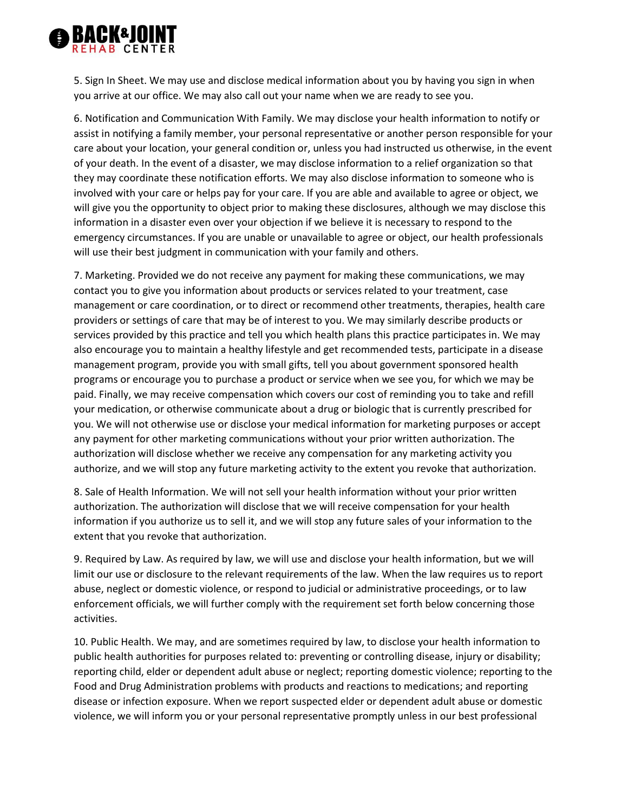

5. Sign In Sheet. We may use and disclose medical information about you by having you sign in when you arrive at our office. We may also call out your name when we are ready to see you.

6. Notification and Communication With Family. We may disclose your health information to notify or assist in notifying a family member, your personal representative or another person responsible for your care about your location, your general condition or, unless you had instructed us otherwise, in the event of your death. In the event of a disaster, we may disclose information to a relief organization so that they may coordinate these notification efforts. We may also disclose information to someone who is involved with your care or helps pay for your care. If you are able and available to agree or object, we will give you the opportunity to object prior to making these disclosures, although we may disclose this information in a disaster even over your objection if we believe it is necessary to respond to the emergency circumstances. If you are unable or unavailable to agree or object, our health professionals will use their best judgment in communication with your family and others.

7. Marketing. Provided we do not receive any payment for making these communications, we may contact you to give you information about products or services related to your treatment, case management or care coordination, or to direct or recommend other treatments, therapies, health care providers or settings of care that may be of interest to you. We may similarly describe products or services provided by this practice and tell you which health plans this practice participates in. We may also encourage you to maintain a healthy lifestyle and get recommended tests, participate in a disease management program, provide you with small gifts, tell you about government sponsored health programs or encourage you to purchase a product or service when we see you, for which we may be paid. Finally, we may receive compensation which covers our cost of reminding you to take and refill your medication, or otherwise communicate about a drug or biologic that is currently prescribed for you. We will not otherwise use or disclose your medical information for marketing purposes or accept any payment for other marketing communications without your prior written authorization. The authorization will disclose whether we receive any compensation for any marketing activity you authorize, and we will stop any future marketing activity to the extent you revoke that authorization.

8. Sale of Health Information. We will not sell your health information without your prior written authorization. The authorization will disclose that we will receive compensation for your health information if you authorize us to sell it, and we will stop any future sales of your information to the extent that you revoke that authorization.

9. Required by Law. As required by law, we will use and disclose your health information, but we will limit our use or disclosure to the relevant requirements of the law. When the law requires us to report abuse, neglect or domestic violence, or respond to judicial or administrative proceedings, or to law enforcement officials, we will further comply with the requirement set forth below concerning those activities.

10. Public Health. We may, and are sometimes required by law, to disclose your health information to public health authorities for purposes related to: preventing or controlling disease, injury or disability; reporting child, elder or dependent adult abuse or neglect; reporting domestic violence; reporting to the Food and Drug Administration problems with products and reactions to medications; and reporting disease or infection exposure. When we report suspected elder or dependent adult abuse or domestic violence, we will inform you or your personal representative promptly unless in our best professional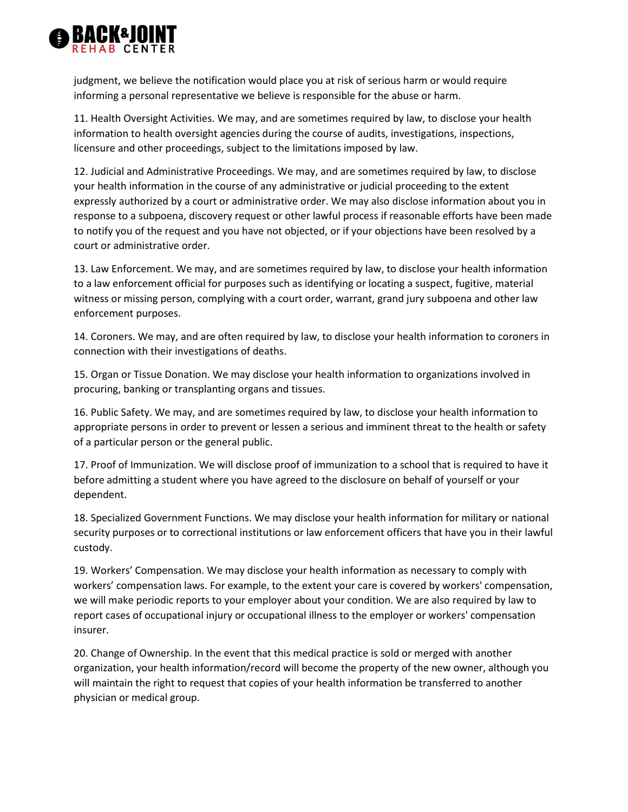

judgment, we believe the notification would place you at risk of serious harm or would require informing a personal representative we believe is responsible for the abuse or harm.

11. Health Oversight Activities. We may, and are sometimes required by law, to disclose your health information to health oversight agencies during the course of audits, investigations, inspections, licensure and other proceedings, subject to the limitations imposed by law.

12. Judicial and Administrative Proceedings. We may, and are sometimes required by law, to disclose your health information in the course of any administrative or judicial proceeding to the extent expressly authorized by a court or administrative order. We may also disclose information about you in response to a subpoena, discovery request or other lawful process if reasonable efforts have been made to notify you of the request and you have not objected, or if your objections have been resolved by a court or administrative order.

13. Law Enforcement. We may, and are sometimes required by law, to disclose your health information to a law enforcement official for purposes such as identifying or locating a suspect, fugitive, material witness or missing person, complying with a court order, warrant, grand jury subpoena and other law enforcement purposes.

14. Coroners. We may, and are often required by law, to disclose your health information to coroners in connection with their investigations of deaths.

15. Organ or Tissue Donation. We may disclose your health information to organizations involved in procuring, banking or transplanting organs and tissues.

16. Public Safety. We may, and are sometimes required by law, to disclose your health information to appropriate persons in order to prevent or lessen a serious and imminent threat to the health or safety of a particular person or the general public.

17. Proof of Immunization. We will disclose proof of immunization to a school that is required to have it before admitting a student where you have agreed to the disclosure on behalf of yourself or your dependent.

18. Specialized Government Functions. We may disclose your health information for military or national security purposes or to correctional institutions or law enforcement officers that have you in their lawful custody.

19. Workers' Compensation. We may disclose your health information as necessary to comply with workers' compensation laws. For example, to the extent your care is covered by workers' compensation, we will make periodic reports to your employer about your condition. We are also required by law to report cases of occupational injury or occupational illness to the employer or workers' compensation insurer.

20. Change of Ownership. In the event that this medical practice is sold or merged with another organization, your health information/record will become the property of the new owner, although you will maintain the right to request that copies of your health information be transferred to another physician or medical group.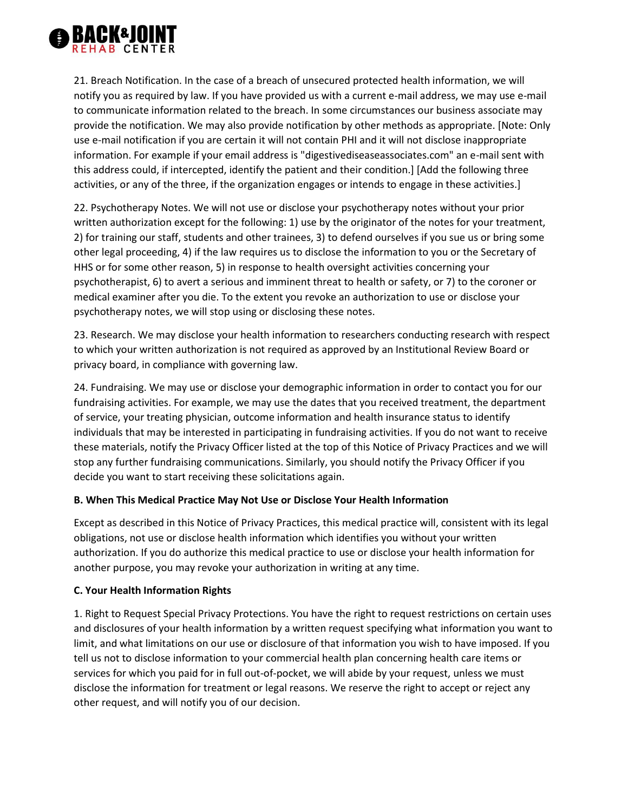

21. Breach Notification. In the case of a breach of unsecured protected health information, we will notify you as required by law. If you have provided us with a current e-mail address, we may use e-mail to communicate information related to the breach. In some circumstances our business associate may provide the notification. We may also provide notification by other methods as appropriate. [Note: Only use e-mail notification if you are certain it will not contain PHI and it will not disclose inappropriate information. For example if your email address is "digestivediseaseassociates.com" an e-mail sent with this address could, if intercepted, identify the patient and their condition.] [Add the following three activities, or any of the three, if the organization engages or intends to engage in these activities.]

22. Psychotherapy Notes. We will not use or disclose your psychotherapy notes without your prior written authorization except for the following: 1) use by the originator of the notes for your treatment, 2) for training our staff, students and other trainees, 3) to defend ourselves if you sue us or bring some other legal proceeding, 4) if the law requires us to disclose the information to you or the Secretary of HHS or for some other reason, 5) in response to health oversight activities concerning your psychotherapist, 6) to avert a serious and imminent threat to health or safety, or 7) to the coroner or medical examiner after you die. To the extent you revoke an authorization to use or disclose your psychotherapy notes, we will stop using or disclosing these notes.

23. Research. We may disclose your health information to researchers conducting research with respect to which your written authorization is not required as approved by an Institutional Review Board or privacy board, in compliance with governing law.

24. Fundraising. We may use or disclose your demographic information in order to contact you for our fundraising activities. For example, we may use the dates that you received treatment, the department of service, your treating physician, outcome information and health insurance status to identify individuals that may be interested in participating in fundraising activities. If you do not want to receive these materials, notify the Privacy Officer listed at the top of this Notice of Privacy Practices and we will stop any further fundraising communications. Similarly, you should notify the Privacy Officer if you decide you want to start receiving these solicitations again.

#### **B. When This Medical Practice May Not Use or Disclose Your Health Information**

Except as described in this Notice of Privacy Practices, this medical practice will, consistent with its legal obligations, not use or disclose health information which identifies you without your written authorization. If you do authorize this medical practice to use or disclose your health information for another purpose, you may revoke your authorization in writing at any time.

#### **C. Your Health Information Rights**

1. Right to Request Special Privacy Protections. You have the right to request restrictions on certain uses and disclosures of your health information by a written request specifying what information you want to limit, and what limitations on our use or disclosure of that information you wish to have imposed. If you tell us not to disclose information to your commercial health plan concerning health care items or services for which you paid for in full out-of-pocket, we will abide by your request, unless we must disclose the information for treatment or legal reasons. We reserve the right to accept or reject any other request, and will notify you of our decision.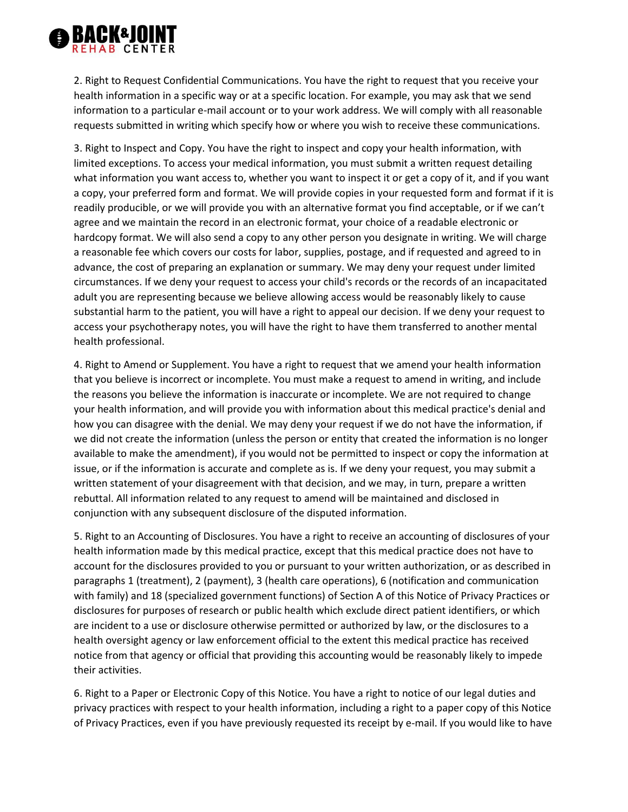

2. Right to Request Confidential Communications. You have the right to request that you receive your health information in a specific way or at a specific location. For example, you may ask that we send information to a particular e-mail account or to your work address. We will comply with all reasonable requests submitted in writing which specify how or where you wish to receive these communications.

3. Right to Inspect and Copy. You have the right to inspect and copy your health information, with limited exceptions. To access your medical information, you must submit a written request detailing what information you want access to, whether you want to inspect it or get a copy of it, and if you want a copy, your preferred form and format. We will provide copies in your requested form and format if it is readily producible, or we will provide you with an alternative format you find acceptable, or if we can't agree and we maintain the record in an electronic format, your choice of a readable electronic or hardcopy format. We will also send a copy to any other person you designate in writing. We will charge a reasonable fee which covers our costs for labor, supplies, postage, and if requested and agreed to in advance, the cost of preparing an explanation or summary. We may deny your request under limited circumstances. If we deny your request to access your child's records or the records of an incapacitated adult you are representing because we believe allowing access would be reasonably likely to cause substantial harm to the patient, you will have a right to appeal our decision. If we deny your request to access your psychotherapy notes, you will have the right to have them transferred to another mental health professional.

4. Right to Amend or Supplement. You have a right to request that we amend your health information that you believe is incorrect or incomplete. You must make a request to amend in writing, and include the reasons you believe the information is inaccurate or incomplete. We are not required to change your health information, and will provide you with information about this medical practice's denial and how you can disagree with the denial. We may deny your request if we do not have the information, if we did not create the information (unless the person or entity that created the information is no longer available to make the amendment), if you would not be permitted to inspect or copy the information at issue, or if the information is accurate and complete as is. If we deny your request, you may submit a written statement of your disagreement with that decision, and we may, in turn, prepare a written rebuttal. All information related to any request to amend will be maintained and disclosed in conjunction with any subsequent disclosure of the disputed information.

5. Right to an Accounting of Disclosures. You have a right to receive an accounting of disclosures of your health information made by this medical practice, except that this medical practice does not have to account for the disclosures provided to you or pursuant to your written authorization, or as described in paragraphs 1 (treatment), 2 (payment), 3 (health care operations), 6 (notification and communication with family) and 18 (specialized government functions) of Section A of this Notice of Privacy Practices or disclosures for purposes of research or public health which exclude direct patient identifiers, or which are incident to a use or disclosure otherwise permitted or authorized by law, or the disclosures to a health oversight agency or law enforcement official to the extent this medical practice has received notice from that agency or official that providing this accounting would be reasonably likely to impede their activities.

6. Right to a Paper or Electronic Copy of this Notice. You have a right to notice of our legal duties and privacy practices with respect to your health information, including a right to a paper copy of this Notice of Privacy Practices, even if you have previously requested its receipt by e-mail. If you would like to have